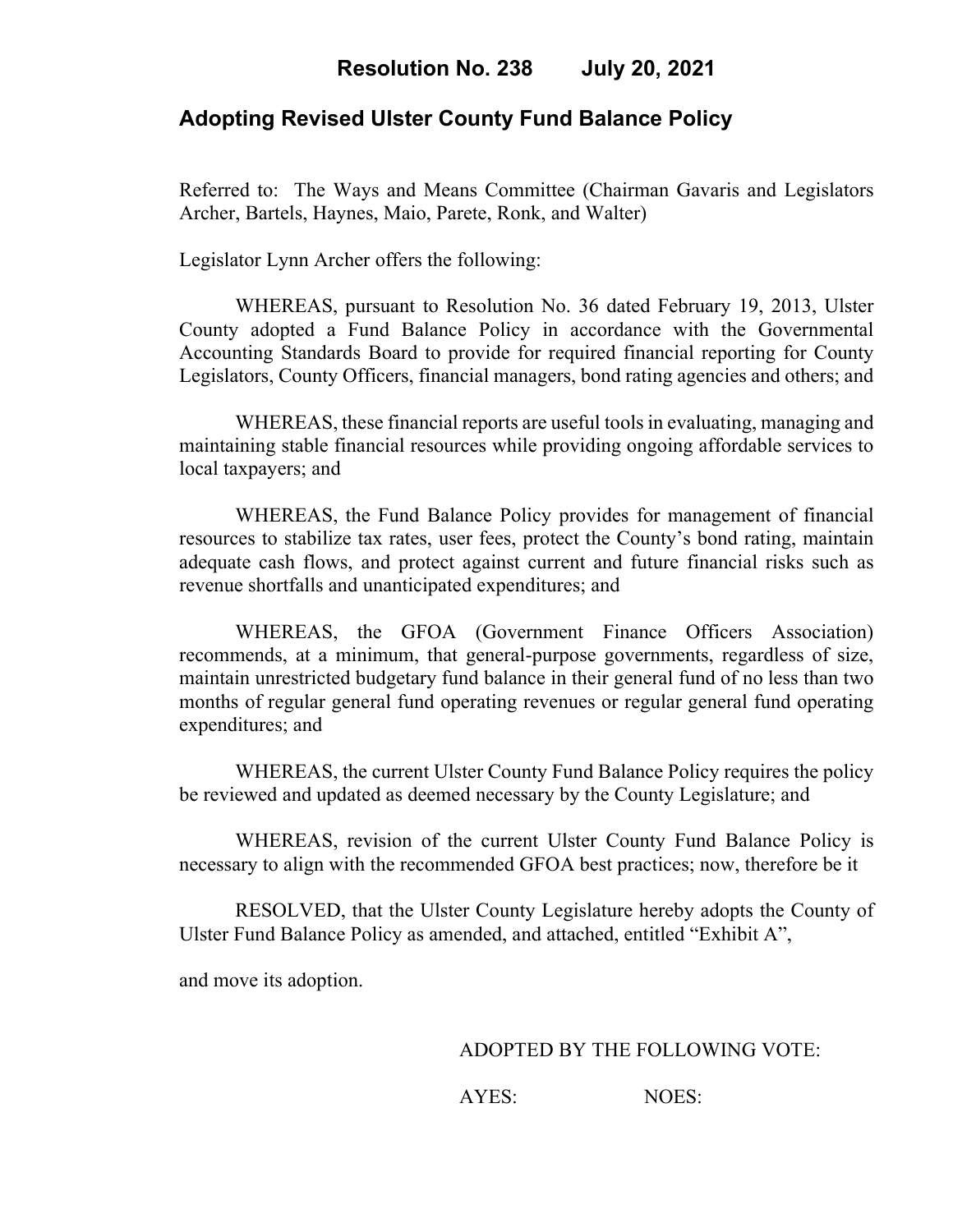## **Adopting Revised Ulster County Fund Balance Policy**

Referred to: The Ways and Means Committee (Chairman Gavaris and Legislators Archer, Bartels, Haynes, Maio, Parete, Ronk, and Walter)

Legislator Lynn Archer offers the following:

WHEREAS, pursuant to Resolution No. 36 dated February 19, 2013, Ulster County adopted a Fund Balance Policy in accordance with the Governmental Accounting Standards Board to provide for required financial reporting for County Legislators, County Officers, financial managers, bond rating agencies and others; and

WHEREAS, these financial reports are useful tools in evaluating, managing and maintaining stable financial resources while providing ongoing affordable services to local taxpayers; and

WHEREAS, the Fund Balance Policy provides for management of financial resources to stabilize tax rates, user fees, protect the County's bond rating, maintain adequate cash flows, and protect against current and future financial risks such as revenue shortfalls and unanticipated expenditures; and

WHEREAS, the GFOA (Government Finance Officers Association) recommends, at a minimum, that general-purpose governments, regardless of size, maintain unrestricted budgetary fund balance in their general fund of no less than two months of regular general fund operating revenues or regular general fund operating expenditures; and

WHEREAS, the current Ulster County Fund Balance Policy requires the policy be reviewed and updated as deemed necessary by the County Legislature; and

WHEREAS, revision of the current Ulster County Fund Balance Policy is necessary to align with the recommended GFOA best practices; now, therefore be it

RESOLVED, that the Ulster County Legislature hereby adopts the County of Ulster Fund Balance Policy as amended, and attached, entitled "Exhibit A",

and move its adoption.

ADOPTED BY THE FOLLOWING VOTE:

AYES: NOES: